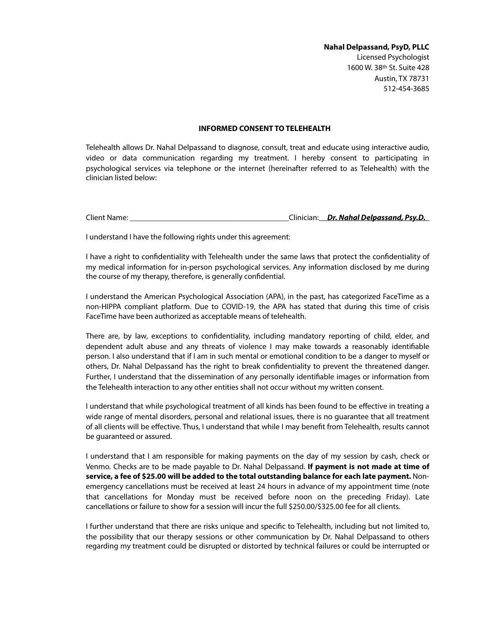**Nahal Delpassand, PsyD, PLLC**  Licensed Psychologist 1600 W. 38th St. Suite 428 Austin, TX 78731 512-454-3685

## **INFORMED CONSENT TO TELEHEALTH**

Telehealth allows Dr. Nahal Delpassand to diagnose, consult, treat and educate using interactive audio, video or data communication regarding my treatment. I hereby consent to participating in psychological services via telephone or the internet (hereinafter referred to as Telehealth) with the clinician listed below:

Client Name: \_\_\_\_\_\_\_\_\_\_\_\_\_\_\_\_\_\_\_\_\_\_\_\_\_\_\_\_\_\_\_\_\_\_\_\_\_\_\_\_Clinician: *Dr. Nahal Delpassand, Psy.D.*

I understand I have the following rights under this agreement:

I have a right to confdentiality with Telehealth under the same laws that protect the confdentiality of my medical information for in-person psychological services. Any information disclosed by me during the course of my therapy, therefore, is generally confdential.

I understand the American Psychological Association (APA), in the past, has categorized FaceTime as a non-HIPPA compliant platform. Due to COVID-19, the APA has stated that during this time of crisis FaceTime have been authorized as acceptable means of telehealth.

There are, by law, exceptions to confdentiality, including mandatory reporting of child, elder, and dependent adult abuse and any threats of violence I may make towards a reasonably identifable person. I also understand that if I am in such mental or emotional condition to be a danger to myself or others, Dr. Nahal Delpassand has the right to break confdentiality to prevent the threatened danger. Further, I understand that the dissemination of any personally identifable images or information from the Telehealth interaction to any other entities shall not occur without my written consent.

I understand that while psychological treatment of all kinds has been found to be efective in treating a wide range of mental disorders, personal and relational issues, there is no guarantee that all treatment of all clients will be efective. Thus, I understand that while I may beneft from Telehealth, results cannot be guaranteed or assured.

I understand that I am responsible for making payments on the day of my session by cash, check or Venmo. Checks are to be made payable to Dr. Nahal Delpassand. **If payment is not made at time of service, a fee of \$25.00 will be added to the total outstanding balance for each late payment.** Nonemergency cancellations must be received at least 24 hours in advance of my appointment time (note that cancellations for Monday must be received before noon on the preceding Friday). Late cancellations or failure to show for a session will incur the full \$250.00/\$325.00 fee for all clients.

I further understand that there are risks unique and specifc to Telehealth, including but not limited to, the possibility that our therapy sessions or other communication by Dr. Nahal Delpassand to others regarding my treatment could be disrupted or distorted by technical failures or could be interrupted or